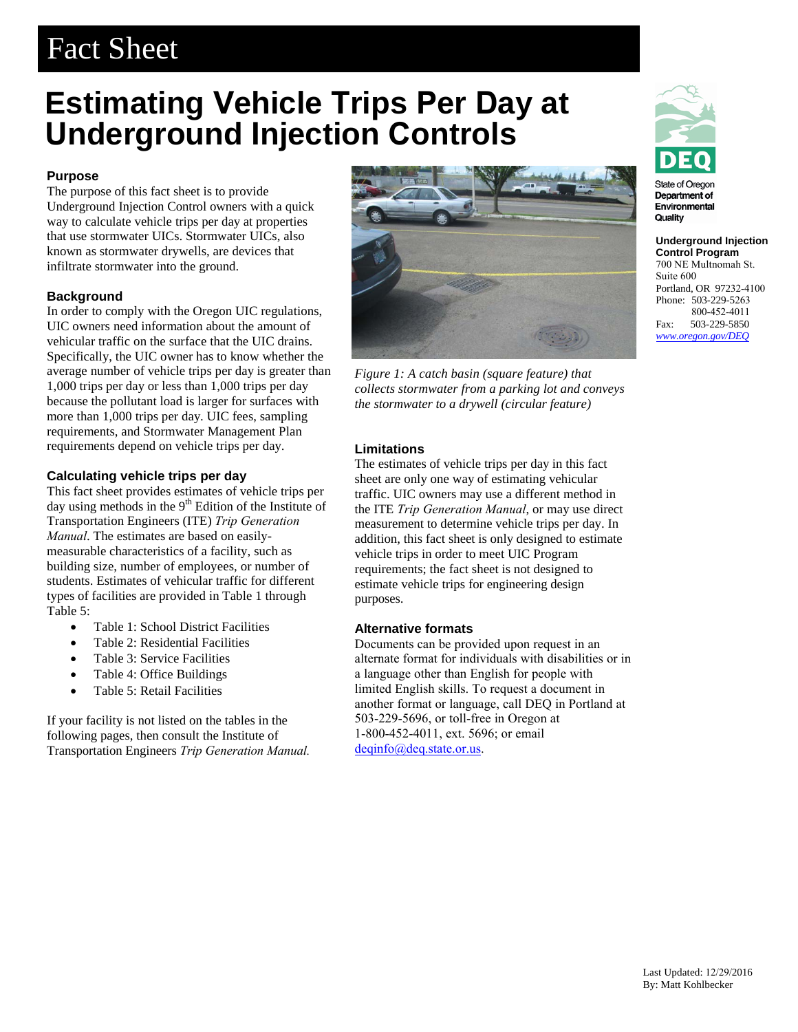# Fact Sheet

## **Estimating Vehicle Trips Per Day at Underground Injection Controls**

### **Purpose**

The purpose of this fact sheet is to provide Underground Injection Control owners with a quick way to calculate vehicle trips per day at properties that use stormwater UICs. Stormwater UICs, also known as stormwater drywells, are devices that infiltrate stormwater into the ground.

#### **Background**

In order to comply with the Oregon UIC regulations, UIC owners need information about the amount of vehicular traffic on the surface that the UIC drains. Specifically, the UIC owner has to know whether the average number of vehicle trips per day is greater than 1,000 trips per day or less than 1,000 trips per day because the pollutant load is larger for surfaces with more than 1,000 trips per day. UIC fees, sampling requirements, and Stormwater Management Plan requirements depend on vehicle trips per day.

#### **Calculating vehicle trips per day**

This fact sheet provides estimates of vehicle trips per day using methods in the 9<sup>th</sup> Edition of the Institute of Transportation Engineers (ITE) *Trip Generation Manual*. The estimates are based on easilymeasurable characteristics of a facility, such as building size, number of employees, or number of students. Estimates of vehicular traffic for different types of facilities are provided in Table 1 through Table 5:

- Table 1: School District Facilities
- Table 2: Residential Facilities
- Table 3: Service Facilities
- Table 4: Office Buildings
- Table 5: Retail Facilities

If your facility is not listed on the tables in the following pages, then consult the Institute of Transportation Engineers *Trip Generation Manual.*



*Figure 1: A catch basin (square feature) that collects stormwater from a parking lot and conveys the stormwater to a drywell (circular feature)* 

#### **Limitations**

The estimates of vehicle trips per day in this fact sheet are only one way of estimating vehicular traffic. UIC owners may use a different method in the ITE *Trip Generation Manual*, or may use direct measurement to determine vehicle trips per day. In addition, this fact sheet is only designed to estimate vehicle trips in order to meet UIC Program requirements; the fact sheet is not designed to estimate vehicle trips for engineering design purposes.

#### **Alternative formats**

Documents can be provided upon request in an alternate format for individuals with disabilities or in a language other than English for people with limited English skills. To request a document in another format or language, call DEQ in Portland at [503-229-5696, or toll-fre](mailto:deqinfo@deq.state.or.us)e in Oregon at 1-800-452-4011, ext. 5696; or email deqinfo@deq.state.or.us.



State of Oregor Department of Environmental Quality

**Underground Injection Control Program**  700 NE Multnomah St. Suite 600 Portland, OR 97232-4100 Phone: 503-229-5263 800-452-4011<br>Fax: 503-229-5850 503-229-5850 *www.oregon.gov/DEQ*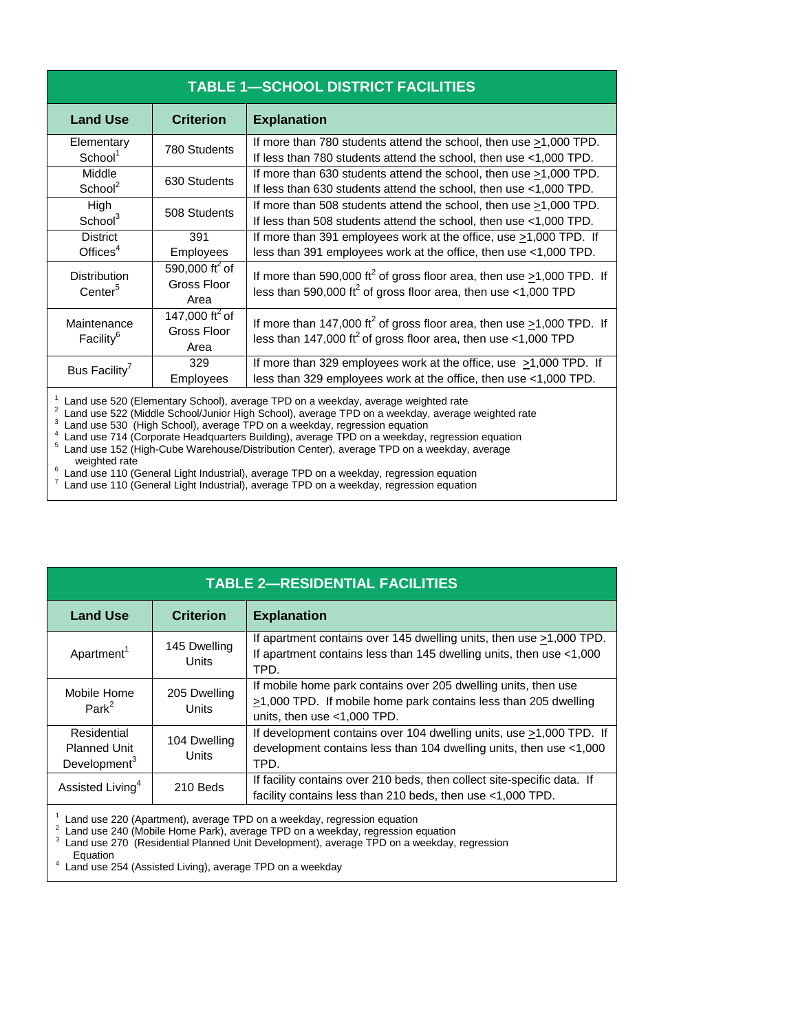| <b>TABLE 1-SCHOOL DISTRICT FACILITIES</b>                                                                                                                                                                                                                         |                                                   |                                                                                                                                                                       |  |  |
|-------------------------------------------------------------------------------------------------------------------------------------------------------------------------------------------------------------------------------------------------------------------|---------------------------------------------------|-----------------------------------------------------------------------------------------------------------------------------------------------------------------------|--|--|
| <b>Land Use</b>                                                                                                                                                                                                                                                   | <b>Criterion</b>                                  | <b>Explanation</b>                                                                                                                                                    |  |  |
| Elementary<br>School <sup>1</sup>                                                                                                                                                                                                                                 | 780 Students                                      | If more than 780 students attend the school, then use $\geq$ 1,000 TPD.<br>If less than 780 students attend the school, then use <1,000 TPD.                          |  |  |
| Middle<br>School <sup>2</sup>                                                                                                                                                                                                                                     | 630 Students                                      | If more than 630 students attend the school, then use $\geq 1,000$ TPD.<br>If less than 630 students attend the school, then use <1,000 TPD.                          |  |  |
| High<br>School <sup>3</sup>                                                                                                                                                                                                                                       | 508 Students                                      | If more than 508 students attend the school, then use >1,000 TPD.<br>If less than 508 students attend the school, then use <1,000 TPD.                                |  |  |
| <b>District</b><br>Offices $4$                                                                                                                                                                                                                                    | 391<br>Employees                                  | If more than 391 employees work at the office, use >1,000 TPD. If<br>less than 391 employees work at the office, then use <1,000 TPD.                                 |  |  |
| <b>Distribution</b><br>Center <sup>5</sup>                                                                                                                                                                                                                        | 590,000 ft <sup>2</sup> of<br>Gross Floor<br>Area | If more than 590,000 ft <sup>2</sup> of gross floor area, then use $\geq$ 1,000 TPD. If<br>less than 590,000 ft <sup>2</sup> of gross floor area, then use <1,000 TPD |  |  |
| Maintenance<br>Facility <sup>6</sup>                                                                                                                                                                                                                              | 147,000 ft <sup>2</sup> of<br>Gross Floor<br>Area | If more than 147,000 ft <sup>2</sup> of gross floor area, then use $\geq$ 1,000 TPD. If<br>less than 147,000 ft <sup>2</sup> of gross floor area, then use <1,000 TPD |  |  |
| Bus Facility <sup>7</sup>                                                                                                                                                                                                                                         | 329<br>Employees                                  | If more than 329 employees work at the office, use >1,000 TPD. If<br>less than 329 employees work at the office, then use <1,000 TPD.                                 |  |  |
| Land use 520 (Elementary School), average TPD on a weekday, average weighted rate<br>Land use 522 (Middle School/Junior High School), average TPD on a weekday, average weighted rate<br>Landuan 520 (Lligh Cabaal), quarage TDD en a weekday regression equation |                                                   |                                                                                                                                                                       |  |  |

Land use 530 (High School), average TPD on a weekday, regression equation  $^3$  Land use 530 (High School), average TPD on a weekday, regression equation  $^4$  Land use 714 (Corporate Hoodquarters Building), average TPD on a weekday.

 $^\circ\,$  Land use 714 (Corporate Headquarters Building), average TPD on a weekday, regression equation<br><sup>5</sup> Land use 152 (High-Cube Warehouse/Distribution Center), average TPD on a weekday, average

weighted rate

 $^{\circ}$  Land use 110 (General Light Industrial), average TPD on a weekday, regression equation  $^7$  Land use 110 (Ceneral Light Industrial), average TPD on a weekday, regression equation Land use 110 (General Light Industrial), average TPD on a weekday, regression equation

| <b>TABLE 2-RESIDENTIAL FACILITIES</b>                          |                       |                                                                                                                                                                  |  |  |
|----------------------------------------------------------------|-----------------------|------------------------------------------------------------------------------------------------------------------------------------------------------------------|--|--|
| <b>Land Use</b>                                                | <b>Criterion</b>      | <b>Explanation</b>                                                                                                                                               |  |  |
| Apartment <sup>1</sup>                                         | 145 Dwelling<br>Units | If apartment contains over 145 dwelling units, then use >1,000 TPD.<br>If apartment contains less than 145 dwelling units, then use <1,000<br>TPD.               |  |  |
| Mobile Home<br>Park <sup>2</sup>                               | 205 Dwelling<br>Units | If mobile home park contains over 205 dwelling units, then use<br>>1,000 TPD. If mobile home park contains less than 205 dwelling<br>units, then use <1,000 TPD. |  |  |
| Residential<br><b>Planned Unit</b><br>Development <sup>3</sup> | 104 Dwelling<br>Units | If development contains over 104 dwelling units, use >1,000 TPD. If<br>development contains less than 104 dwelling units, then use <1,000<br>TPD.                |  |  |
| Assisted Living <sup>4</sup>                                   | 210 Beds              | If facility contains over 210 beds, then collect site-specific data. If<br>facility contains less than 210 beds, then use <1,000 TPD.                            |  |  |

<sup>1</sup> Land use 220 (Apartment), average TPD on a weekday, regression equation 2.1 and use 240 (Mobile Home Bark), average TPD on a weekday, regression of

 $\frac{2}{3}$  Land use 240 (Mobile Home Park), average TPD on a weekday, regression equation 3 Land use 270 (Besidential Planned Unit Development), average TPD on a weekday.

<sup>3</sup> Land use 270 (Residential Planned Unit Development), average TPD on a weekday, regression

Equation<br><sup>4</sup> Land use 2 Land use 254 (Assisted Living), average TPD on a weekday